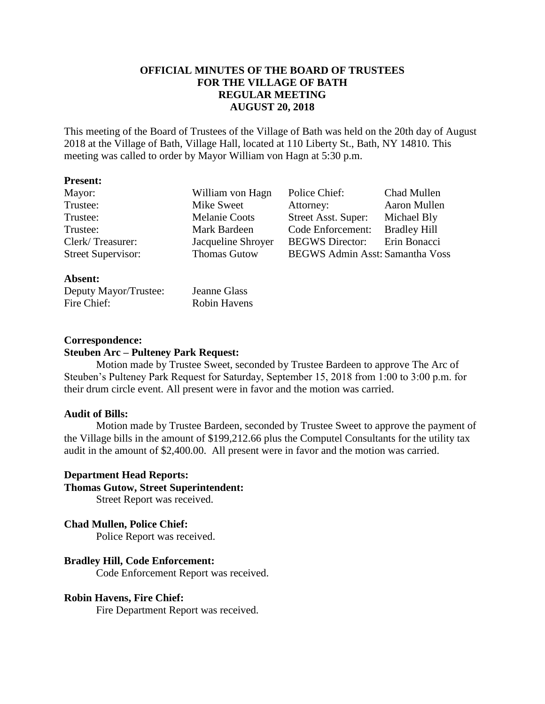# **OFFICIAL MINUTES OF THE BOARD OF TRUSTEES FOR THE VILLAGE OF BATH REGULAR MEETING AUGUST 20, 2018**

This meeting of the Board of Trustees of the Village of Bath was held on the 20th day of August 2018 at the Village of Bath, Village Hall, located at 110 Liberty St., Bath, NY 14810. This meeting was called to order by Mayor William von Hagn at 5:30 p.m.

#### **Present:**

| Mayor:                    | William von Hagn     | Police Chief:                          | Chad Mullen         |
|---------------------------|----------------------|----------------------------------------|---------------------|
| Trustee:                  | Mike Sweet           | Attorney:                              | Aaron Mullen        |
| Trustee:                  | <b>Melanie Coots</b> | Street Asst. Super:                    | Michael Bly         |
| Trustee:                  | Mark Bardeen         | Code Enforcement:                      | <b>Bradley Hill</b> |
| Clerk/Treasurer:          | Jacqueline Shroyer   | <b>BEGWS</b> Director:                 | Erin Bonacci        |
| <b>Street Supervisor:</b> | <b>Thomas Gutow</b>  | <b>BEGWS Admin Asst: Samantha Voss</b> |                     |

#### **Absent:**

| Deputy Mayor/Trustee: | Jeanne Glass        |
|-----------------------|---------------------|
| Fire Chief:           | <b>Robin Havens</b> |

### **Correspondence:**

## **Steuben Arc – Pulteney Park Request:**

Motion made by Trustee Sweet, seconded by Trustee Bardeen to approve The Arc of Steuben's Pulteney Park Request for Saturday, September 15, 2018 from 1:00 to 3:00 p.m. for their drum circle event. All present were in favor and the motion was carried.

#### **Audit of Bills:**

Motion made by Trustee Bardeen, seconded by Trustee Sweet to approve the payment of the Village bills in the amount of \$199,212.66 plus the Computel Consultants for the utility tax audit in the amount of \$2,400.00. All present were in favor and the motion was carried.

# **Department Head Reports:**

**Thomas Gutow, Street Superintendent:**

Street Report was received.

### **Chad Mullen, Police Chief:**

Police Report was received.

## **Bradley Hill, Code Enforcement:**

Code Enforcement Report was received.

### **Robin Havens, Fire Chief:**

Fire Department Report was received.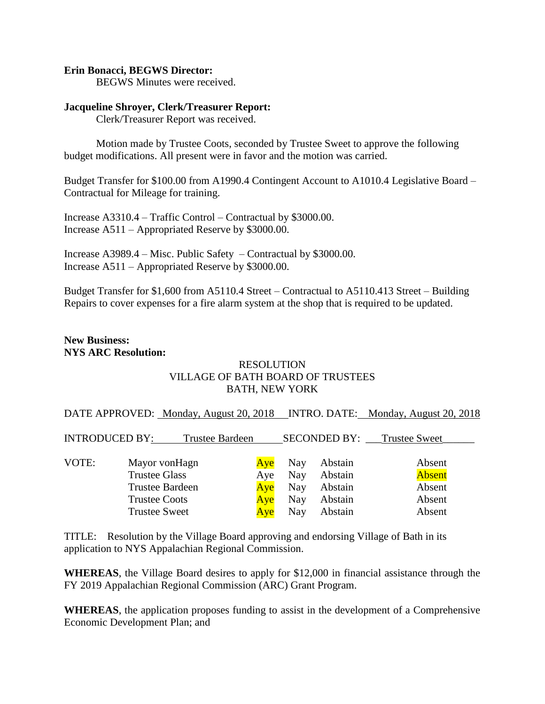### **Erin Bonacci, BEGWS Director:**

BEGWS Minutes were received.

### **Jacqueline Shroyer, Clerk/Treasurer Report:**

Clerk/Treasurer Report was received.

Motion made by Trustee Coots, seconded by Trustee Sweet to approve the following budget modifications. All present were in favor and the motion was carried.

Budget Transfer for \$100.00 from A1990.4 Contingent Account to A1010.4 Legislative Board – Contractual for Mileage for training.

Increase A3310.4 – Traffic Control – Contractual by \$3000.00. Increase A511 – Appropriated Reserve by \$3000.00.

Increase A3989.4 – Misc. Public Safety – Contractual by \$3000.00. Increase A511 – Appropriated Reserve by \$3000.00.

Budget Transfer for \$1,600 from A5110.4 Street – Contractual to A5110.413 Street – Building Repairs to cover expenses for a fire alarm system at the shop that is required to be updated.

# **New Business: NYS ARC Resolution:**

# RESOLUTION VILLAGE OF BATH BOARD OF TRUSTEES BATH, NEW YORK

DATE APPROVED: Monday, August 20, 2018 INTRO. DATE: Monday, August 20, 2018

| <b>INTRODUCED BY:</b> |                        | Trustee Bardeen |     |     | <b>SECONDED BY:</b> | <b>Trustee Sweet</b> |  |
|-----------------------|------------------------|-----------------|-----|-----|---------------------|----------------------|--|
|                       |                        |                 |     |     |                     |                      |  |
| VOTE:                 | Mayor vonHagn          |                 | Ave | Nay | Abstain             | Absent               |  |
|                       | <b>Trustee Glass</b>   |                 | Aye | Nay | Abstain             | <b>Absent</b>        |  |
|                       | <b>Trustee Bardeen</b> |                 | Aye | Nay | Abstain             | Absent               |  |
|                       | <b>Trustee Coots</b>   |                 | Aye | Nay | Abstain             | Absent               |  |
|                       | <b>Trustee Sweet</b>   |                 | Ave | Nay | Abstain             | Absent               |  |

TITLE: Resolution by the Village Board approving and endorsing Village of Bath in its application to NYS Appalachian Regional Commission.

**WHEREAS**, the Village Board desires to apply for \$12,000 in financial assistance through the FY 2019 Appalachian Regional Commission (ARC) Grant Program.

**WHEREAS**, the application proposes funding to assist in the development of a Comprehensive Economic Development Plan; and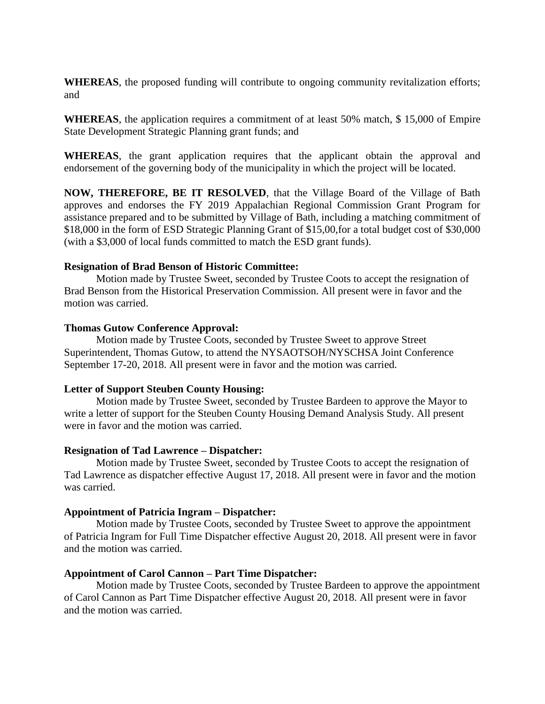**WHEREAS**, the proposed funding will contribute to ongoing community revitalization efforts; and

**WHEREAS**, the application requires a commitment of at least 50% match, \$ 15,000 of Empire State Development Strategic Planning grant funds; and

**WHEREAS**, the grant application requires that the applicant obtain the approval and endorsement of the governing body of the municipality in which the project will be located.

**NOW, THEREFORE, BE IT RESOLVED**, that the Village Board of the Village of Bath approves and endorses the FY 2019 Appalachian Regional Commission Grant Program for assistance prepared and to be submitted by Village of Bath, including a matching commitment of \$18,000 in the form of ESD Strategic Planning Grant of \$15,00,for a total budget cost of \$30,000 (with a \$3,000 of local funds committed to match the ESD grant funds).

### **Resignation of Brad Benson of Historic Committee:**

Motion made by Trustee Sweet, seconded by Trustee Coots to accept the resignation of Brad Benson from the Historical Preservation Commission. All present were in favor and the motion was carried.

### **Thomas Gutow Conference Approval:**

Motion made by Trustee Coots, seconded by Trustee Sweet to approve Street Superintendent, Thomas Gutow, to attend the NYSAOTSOH/NYSCHSA Joint Conference September 17-20, 2018. All present were in favor and the motion was carried.

### **Letter of Support Steuben County Housing:**

Motion made by Trustee Sweet, seconded by Trustee Bardeen to approve the Mayor to write a letter of support for the Steuben County Housing Demand Analysis Study. All present were in favor and the motion was carried.

### **Resignation of Tad Lawrence – Dispatcher:**

Motion made by Trustee Sweet, seconded by Trustee Coots to accept the resignation of Tad Lawrence as dispatcher effective August 17, 2018. All present were in favor and the motion was carried.

### **Appointment of Patricia Ingram – Dispatcher:**

Motion made by Trustee Coots, seconded by Trustee Sweet to approve the appointment of Patricia Ingram for Full Time Dispatcher effective August 20, 2018. All present were in favor and the motion was carried.

# **Appointment of Carol Cannon – Part Time Dispatcher:**

Motion made by Trustee Coots, seconded by Trustee Bardeen to approve the appointment of Carol Cannon as Part Time Dispatcher effective August 20, 2018. All present were in favor and the motion was carried.